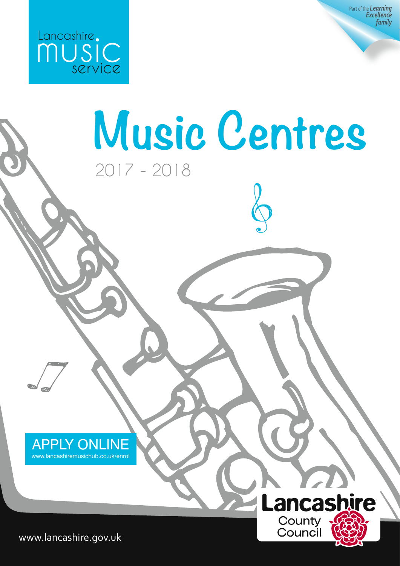

Part of the *Learning Excellence family*



www.lancashire.gov.uk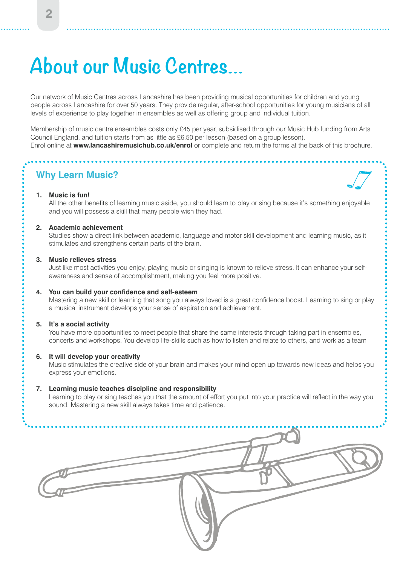## **About our Music Centres…**

Our network of Music Centres across Lancashire has been providing musical opportunities for children and young people across Lancashire for over 50 years. They provide regular, after-school opportunities for young musicians of all levels of experience to play together in ensembles as well as offering group and individual tuition.

Membership of music centre ensembles costs only £45 per year, subsidised through our Music Hub funding from Arts Council England, and tuition starts from as little as £6.50 per lesson (based on a group lesson). Enrol online at **www.lancashiremusichub.co.uk/enrol** or complete and return the forms at the back of this brochure.

#### **Why Learn Music?**

#### **1. Music is fun!**

 All the other benefits of learning music aside, you should learn to play or sing because it's something enjoyable and you will possess a skill that many people wish they had.

#### **2. Academic achievement**

 Studies show a direct link between academic, language and motor skill development and learning music, as it stimulates and strengthens certain parts of the brain.

#### **3. Music relieves stress**

 Just like most activities you enjoy, playing music or singing is known to relieve stress. It can enhance your selfawareness and sense of accomplishment, making you feel more positive.

#### **4. You can build your confidence and self-esteem**

 Mastering a new skill or learning that song you always loved is a great confidence boost. Learning to sing or play a musical instrument develops your sense of aspiration and achievement.

#### **5. It's a social activity**

 You have more opportunities to meet people that share the same interests through taking part in ensembles, concerts and workshops. You develop life-skills such as how to listen and relate to others, and work as a team

#### **6. It will develop your creativity**

 Music stimulates the creative side of your brain and makes your mind open up towards new ideas and helps you express your emotions.

#### **7. Learning music teaches discipline and responsibility**

 Learning to play or sing teaches you that the amount of effort you put into your practice will reflect in the way you sound. Mastering a new skill always takes time and patience.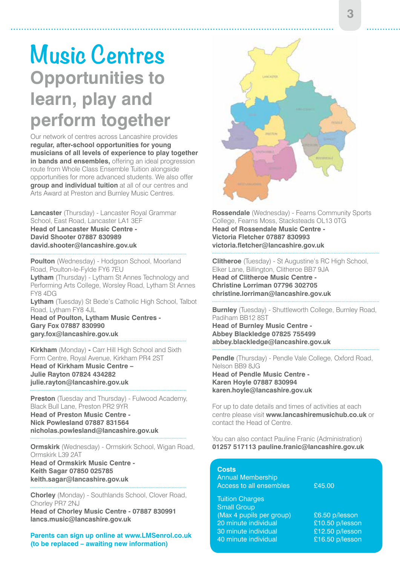### **Music Centres Opportunities to learn, play and perform together**

Our network of centres across Lancashire provides **regular, after-school opportunities for young musicians of all levels of experience to play together in bands and ensembles,** offering an ideal progression route from Whole Class Ensemble Tuition alongside opportunities for more advanced students. We also offer **group and individual tuition** at all of our centres and Arts Award at Preston and Burnley Music Centres.

**Lancaster** (Thursday) - Lancaster Royal Grammar School, East Road, Lancaster LA1 3EF **Head of Lancaster Music Centre - David Shooter 07887 830989 david.shooter@lancashire.gov.uk** 

**Poulton** (Wednesday) - Hodgson School, Moorland Road, Poulton-le-Fylde FY6 7EU **Lytham** (Thursday) - Lytham St Annes Technology and Performing Arts College, Worsley Road, Lytham St Annes FY8 4DG

**Lytham** (Tuesday) St Bede's Catholic High School, Talbot Road, Lytham FY8 4JL

**Head of Poulton, Lytham Music Centres - Gary Fox 07887 830990 gary.fox@lancashire.gov.uk**

**Kirkham** (Monday) **-** Carr Hill High School and Sixth Form Centre, Royal Avenue, Kirkham PR4 2ST **Head of Kirkham Music Centre – Julie Rayton 07824 434282 julie.rayton@lancashire.gov.uk** 

**Preston** (Tuesday and Thursday) - Fulwood Academy, Black Bull Lane, Preston PR2 9YR **Head of Preston Music Centre - Nick Powlesland 07887 831564 nicholas.powlesland@lancashire.gov.uk**

**Ormskirk** (Wednesday) - Ormskirk School, Wigan Road, Ormskirk L39 2AT

**Head of Ormskirk Music Centre - Keith Sagar 07850 025785 keith.sagar@lancashire.gov.uk**

**Chorley** (Monday) - Southlands School, Clover Road, Chorley PR7 2NJ

**Head of Chorley Music Centre - 07887 830991 lancs.music@lancashire.gov.uk**

Parents can sign up online at www.LMSenrol.co.uk **(to be replaced – awaiting new information)**



**Rossendale** (Wednesday) - Fearns Community Sports College, Fearns Moss, Stacksteads OL13 0TG **Head of Rossendale Music Centre - Victoria Fletcher 07887 830993 victoria.fletcher@lancashire.gov.uk** 

**Clitheroe** (Tuesday) - St Augustine's RC High School, Elker Lane, Billington, Clitheroe BB7 9JA **Head of Clitheroe Music Centre - Christine Lorriman 07796 302705 christine.lorriman@lancashire.gov.uk**

**Burnley** (Tuesday) - Shuttleworth College, Burnley Road, Padiham BB12 8ST

**Head of Burnley Music Centre - Abbey Blackledge 07825 755499 abbey.blackledge@lancashire.gov.uk**

**Pendle** (Thursday) - Pendle Vale College, Oxford Road, Nelson BB9 8JG **Head of Pendle Music Centre - Karen Hoyle 07887 830994 karen.hoyle@lancashire.gov.uk**

For up to date details and times of activities at each centre please visit **www.lancashiremusichub.co.uk** or contact the Head of Centre.

You can also contact Pauline Franic (Administration) **01257 517113 pauline.franic@lancashire.gov.uk**

| <b>Costs</b><br><b>Annual Membership</b><br><b>Access to all ensembles</b> | £45.00          |
|----------------------------------------------------------------------------|-----------------|
| <b>Tuition Charges</b>                                                     |                 |
| <b>Small Group</b>                                                         |                 |
| (Max 4 pupils per group)                                                   | £6.50 p/lesson  |
| 20 minute individual                                                       | £10.50 p/lesson |
| 30 minute individual                                                       | £12.50 p/lesson |
| 40 minute individual                                                       | £16.50 p/lesson |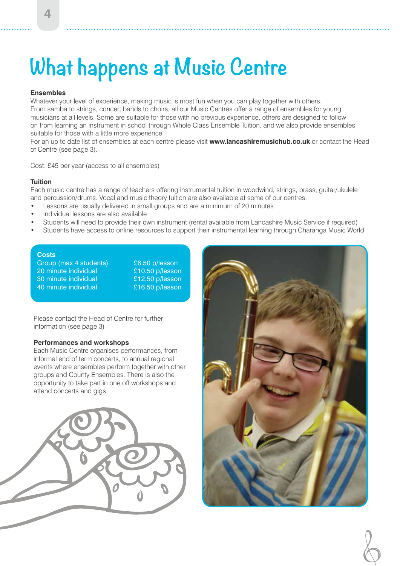## **What happens at Music Centre**

#### **Ensembles**

Whatever your level of experience, making music is most fun when you can play together with others. From samba to strings, concert bands to choirs, all our Music Centres offer a range of ensembles for young musicians at all levels. Some are suitable for those with no previous experience, others are designed to follow on from learning an instrument in school through Whole Class Ensemble Tuition, and we also provide ensembles suitable for those with a little more experience.

For an up to date list of ensembles at each centre please visit **www.lancashiremusichub.co.uk** or contact the Head of Centre (see page 3).

Cost: £45 per year (access to all ensembles)

#### **Tuition**

Each music centre has a range of teachers offering instrumental tuition in woodwind, strings, brass, guitar/ukulele and percussion/drums. Vocal and music theory tuition are also available at some of our centres.

- Lessons are usually delivered in small groups and are a minimum of 20 minutes
- Individual lessons are also available
- Students will need to provide their own instrument (rental available from Lancashire Music Service if required)
- Students have access to online resources to support their instrumental learning through Charanga Music World

#### **Costs**

Group (max 4 students) <br>20 minute individual <br>20 minute individual <br>210.50 p/lesson 20 minute individual 30 minute individual £12.50 p/lesson 40 minute individual £16.50 p/lesson

Please contact the Head of Centre for further information (see page 3)

#### **Performances and workshops**

Each Music Centre organises performances, from informal end of term concerts, to annual regional events where ensembles perform together with other groups and County Ensembles. There is also the opportunity to take part in one off workshops and attend concerts and gigs.



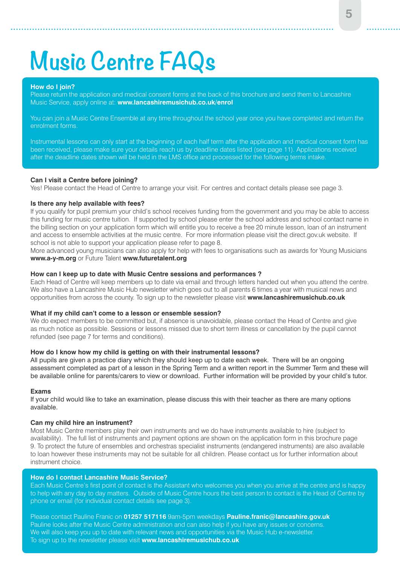# **Music Centre FAQs**

#### **How do I join?**

Please return the application and medical consent forms at the back of this brochure and send them to Lancashire Music Service, apply online at: **www.lancashiremusichub.co.uk/enrol**

You can join a Music Centre Ensemble at any time throughout the school year once you have completed and return the enrolment forms.

Instrumental lessons can only start at the beginning of each half term after the application and medical consent form has been received, please make sure your details reach us by deadline dates listed (see page 11). Applications received after the deadline dates shown will be held in the LMS office and processed for the following terms intake.

#### **Can I visit a Centre before joining?**

Yes! Please contact the Head of Centre to arrange your visit. For centres and contact details please see page 3.

#### **Is there any help available with fees?**

If you qualify for pupil premium your child's school receives funding from the government and you may be able to access this funding for music centre tuition. If supported by school please enter the school address and school contact name in the billing section on your application form which will entitle you to receive a free 20 minute lesson, loan of an instrument and access to ensemble activities at the music centre. For more information please visit the direct.gov.uk website. If school is not able to support your application please refer to page 8.

More advanced young musicians can also apply for help with fees to organisations such as awards for Young Musicians **www.a-y-m.org** or Future Talent **www.futuretalent.org**

#### **How can I keep up to date with Music Centre sessions and performances ?**

Each Head of Centre will keep members up to date via email and through letters handed out when you attend the centre. We also have a Lancashire Music Hub newsletter which goes out to all parents 6 times a year with musical news and opportunities from across the county. To sign up to the newsletter please visit **www.lancashiremusichub.co.uk**

#### **What if my child can't come to a lesson or ensemble session?**

We do expect members to be committed but, if absence is unavoidable, please contact the Head of Centre and give as much notice as possible. Sessions or lessons missed due to short term illness or cancellation by the pupil cannot refunded (see page 7 for terms and conditions).

#### **How do I know how my child is getting on with their instrumental lessons?**

All pupils are given a practice diary which they should keep up to date each week. There will be an ongoing assessment completed as part of a lesson in the Spring Term and a written report in the Summer Term and these will be available online for parents/carers to view or download. Further information will be provided by your child's tutor.

#### **Exams**

If your child would like to take an examination, please discuss this with their teacher as there are many options available.

#### **Can my child hire an instrument?**

Most Music Centre members play their own instruments and we do have instruments available to hire (subject to availability). The full list of instruments and payment options are shown on the application form in this brochure page 9. To protect the future of ensembles and orchestras specialist instruments (endangered instruments) are also available to loan however these instruments may not be suitable for all children. Please contact us for further information about instrument choice.

#### **How do I contact Lancashire Music Service?**

Each Music Centre's first point of contact is the Assistant who welcomes you when you arrive at the centre and is happy to help with any day to day matters. Outside of Music Centre hours the best person to contact is the Head of Centre by phone or email (for individual contact details see page 3).

Please contact Pauline Franic on **01257 517116** 9am-5pm weekdays **Pauline.franic@lancashire.gov.uk** Pauline looks after the Music Centre administration and can also help if you have any issues or concerns. We will also keep you up to date with relevant news and opportunities via the Music Hub e-newsletter. To sign up to the newsletter please visit **www.lancashiremusichub.co.uk**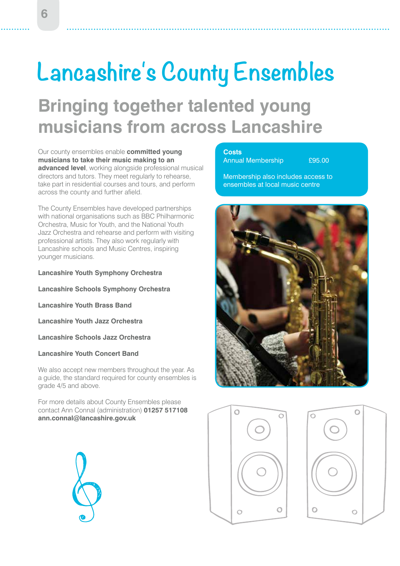# **Lancashire's County Ensembles**

### **Bringing together talented young musicians from across Lancashire**

Our county ensembles enable **committed young musicians to take their music making to an advanced level**, working alongside professional musical directors and tutors. They meet regularly to rehearse, take part in residential courses and tours, and perform across the county and further afield.

The County Ensembles have developed partnerships with national organisations such as BBC Philharmonic Orchestra, Music for Youth, and the National Youth Jazz Orchestra and rehearse and perform with visiting professional artists. They also work regularly with Lancashire schools and Music Centres, inspiring younger musicians.

**Lancashire Youth Symphony Orchestra**

**Lancashire Schools Symphony Orchestra** 

**Lancashire Youth Brass Band** 

**Lancashire Youth Jazz Orchestra**

**Lancashire Schools Jazz Orchestra** 

#### **Lancashire Youth Concert Band**

We also accept new members throughout the year. As a guide, the standard required for county ensembles is grade 4/5 and above.

For more details about County Ensembles please contact Ann Connal (administration) **01257 517108 ann.connal@lancashire.gov.uk**



**Costs**  Annual Membership **£95.00** 

Membership also includes access to ensembles at local music centre





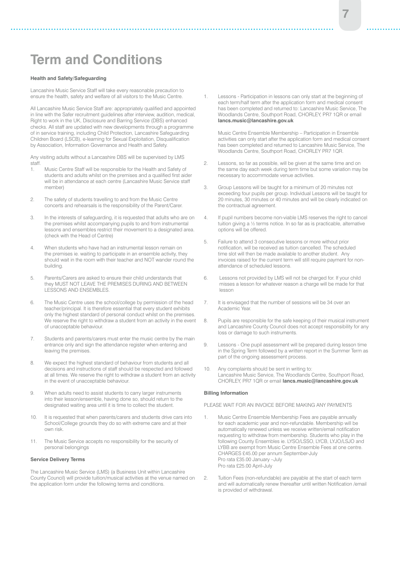### **Term and Conditions**

#### **Health and Safety/Safeguarding**

Lancashire Music Service Staff will take every reasonable precaution to ensure the health, safety and welfare of all visitors to the Music Centre.

All Lancashire Music Service Staff are: appropriately qualified and appointed in line with the Safer recruitment guidelines after interview, audition, medical, Right to work in the UK, Disclosure and Barring Service (DBS) enhanced checks. All staff are updated with new developments through a programme of in service training, including Child Protection, Lancashire Safeguarding Children Board (LSCB), e-learning for Sexual Exploitation, Disqualification by Association, Information Governance and Health and Safety.

Any visiting adults without a Lancashire DBS will be supervised by LMS staff.

- 1. Music Centre Staff will be responsible for the Health and Safety of students and adults whilst on the premises and a qualified first aider will be in attendance at each centre (Lancashire Music Service staff member)
- 2. The safety of students travelling to and from the Music Centre concerts and rehearsals is the responsibility of the Parent/Carer.
- 3. In the interests of safeguarding, it is requested that adults who are on the premises whilst accompanying pupils to and from instrumental lessons and ensembles restrict their movement to a designated area. (check with the Head of Centre)
- 4. When students who have had an instrumental lesson remain on the premises ie. waiting to participate in an ensemble activity, they should wait in the room with their teacher and NOT wander round the building.
- 5. Parents/Carers are asked to ensure their child understands that they MUST NOT LEAVE THE PREMISES DURING AND BETWEEN LESSONS AND ENSEMBLES.
- 6. The Music Centre uses the school/college by permission of the head teacher/principal. It is therefore essential that every student exhibits only the highest standard of personal conduct whilst on the premises. We reserve the right to withdraw a student from an activity in the event of unacceptable behaviour.
- 7. Students and parents/carers must enter the music centre by the main entrance only and sign the attendance register when entering and leaving the premises.
- 8. We expect the highest standard of behaviour from students and all decisions and instructions of staff should be respected and followed at all times. We reserve the right to withdraw a student from an activity in the event of unacceptable behaviour.
- 9. When adults need to assist students to carry larger instruments into their lesson/ensemble, having done so, should return to the designated waiting area until it is time to collect the student.
- 10. It is requested that when parents/carers and students drive cars into School/College grounds they do so with extreme care and at their own risk.
- 11. The Music Service accepts no responsibility for the security of personal belongings

#### **Service Delivery Terms**

The Lancashire Music Service (LMS) (a Business Unit within Lancashire County Council) will provide tuition/musical activities at the venue named on the application form under the following terms and conditions.

1. Lessons - Participation in lessons can only start at the beginning of each term/half term after the application form and medical consent has been completed and returned to: Lancashire Music Service, The Woodlands Centre, Southport Road, CHORLEY, PR7 1QR or email **lancs.music@lancashire.gov.uk**

 Music Centre Ensemble Membership – Participation in Ensemble activities can only start after the application form and medical consent has been completed and returned to Lancashire Music Service, The Woodlands Centre, Southport Road, CHORLEY PR7 1QR.

- 2. Lessons, so far as possible, will be given at the same time and on the same day each week during term time but some variation may be necessary to accommodate venue activities.
- 3. Group Lessons will be taught for a minimum of 20 minutes not exceeding four pupils per group. Individual Lessons will be taught for 20 minutes, 30 minutes or 40 minutes and will be clearly indicated on the contractual agreement.
- 4. If pupil numbers become non-viable LMS reserves the right to cancel tuition giving a ½ terms notice. In so far as is practicable, alternative options will be offered.
- 5. Failure to attend 3 consecutive lessons or more without prior notification, will be received as tuition cancelled. The scheduled time slot will then be made available to another student. Any invoices raised for the current term will still require payment for nonattendance of scheduled lessons.
- 6. Lessons not provided by LMS will not be charged for. If your child misses a lesson for whatever reason a charge will be made for that lesson
- 7. It is envisaged that the number of sessions will be 34 over an Academic Year.
- 8. Pupils are responsible for the safe keeping of their musical instrument and Lancashire County Council does not accept responsibility for any loss or damage to such instruments.
- 9. Lessons One pupil assessment will be prepared during lesson time in the Spring Term followed by a written report in the Summer Term as part of the ongoing assessment process.
- 10. Any complaints should be sent in writing to: Lancashire Music Service, The Woodlands Centre, Southport Road, CHORLEY, PR7 1QR or email **lancs.music@lancashire.gov.uk**

#### **Billing Information**

PLEASE WAIT FOR AN INVOICE BEFORE MAKING ANY PAYMENTS

- 1. Music Centre Ensemble Membership Fees are payable annually for each academic year and non-refundable. Membership will be automatically renewed unless we receive written/email notification requesting to withdraw from membership. Students who play in the following County Ensembles ie. LYSO/LSSO, LYCB, LYJO/LSJO and LYBB are exempt from Music Centre Ensemble Fees at one centre. CHARGES £45.00 per annum September-July Pro rata £35.00 January –July Pro rata £25.00 April-July
- 2. Tuition Fees (non-refundable) are payable at the start of each term and will automatically renew thereafter until written Notification /email is provided of withdrawal.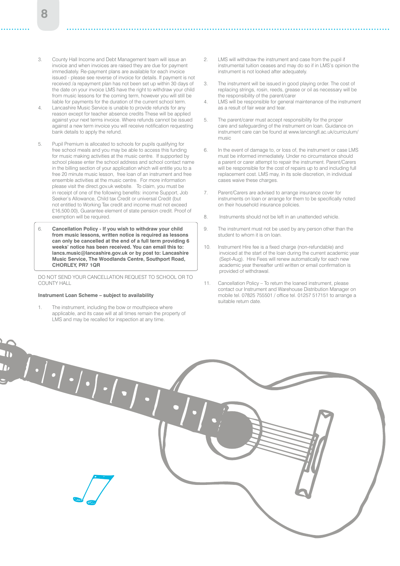- 3. County Hall Income and Debt Management team will issue an invoice and when invoices are raised they are due for payment immediately. Re-payment plans are available for each invoice issued - please see reverse of invoice for details. If payment is not received /a repayment plan has not been set up within 30 days of the date on your invoice LMS have the right to withdraw your child from music lessons for the coming term, however you will still be liable for payments for the duration of the current school term.
- 4. Lancashire Music Service is unable to provide refunds for any reason except for teacher absence credits These will be applied against your next terms invoice. Where refunds cannot be issued against a new term invoice you will receive notification requesting bank details to apply the refund.
- 5. Pupil Premium is allocated to schools for pupils qualifying for free school meals and you may be able to access this funding for music making activities at the music centre. If supported by school please enter the school address and school contact name in the billing section of your application which will entitle you to a free 20 minute music lesson, free loan of an instrument and free ensemble activities at the music centre. For more information please visit the direct.gov.uk website. To claim, you must be in receipt of one of the following benefits: income Support, Job Seeker's Allowance, Child tax Credit or universal Credit (but not entitled to Working Tax credit and income must not exceed £16,500.00), Guarantee element of state pension credit. Proof of exemption will be required.
- 6. **Cancellation Policy If you wish to withdraw your child from music lessons, written notice is required as lessons can only be cancelled at the end of a full term providing 6 weeks' notice has been received. You can email this to: lancs.music@lancashire.gov.uk or by post to: Lancashire Music Service, The Woodlands Centre, Southport Road, CHORLEY, PR7 1QR**

DO NOT SEND YOUR CANCELLATION REQUEST TO SCHOOL OR TO COUNTY HALL

#### **Instrument Loan Scheme – subject to availability**

1. The instrument, including the bow or mouthpiece where applicable, and its case will at all times remain the property of LMS and may be recalled for inspection at any time.

- 2. LMS will withdraw the instrument and case from the pupil if instrumental tuition ceases and may do so if in LMS's opinion the instrument is not looked after adequately.
- 3. The instrument will be issued in good playing order. The cost of replacing strings, rosin, reeds, grease or oil as necessary will be the responsibility of the parent/carer
- 4. LMS will be responsible for general maintenance of the instrument as a result of fair wear and tear.
- 5. The parent/carer must accept responsibility for the proper care and safeguarding of the instrument on loan. Guidance on instrument care can be found at www.lancsngfl.ac.uk/curriculum/ music
- 6. In the event of damage to, or loss of, the instrument or case LMS must be informed immediately. Under no circumstance should a parent or carer attempt to repair the instrument. Parent/Carers will be responsible for the cost of repairs up to and including full replacement cost. LMS may, in its sole discretion, in individual cases waive these charges.
- 7. Parent/Carers are advised to arrange insurance cover for instruments on loan or arrange for them to be specifically noted on their household insurance policies.
- 8. Instruments should not be left in an unattended vehicle.
- 9. The instrument must not be used by any person other than the student to whom it is on loan.
- 10. Instrument Hire fee is a fixed charge (non-refundable) and invoiced at the start of the loan during the current academic year (Sept-Aug). Hire Fees will renew automatically for each new academic year thereafter until written or email confirmation is provided of withdrawal.
- 11. Cancellation Policy To return the loaned instrument, please contact our Instrument and Warehouse Distribution Manager on mobile tel. 07825 755501 / office tel. 01257 517151 to arrange a suitable return date.

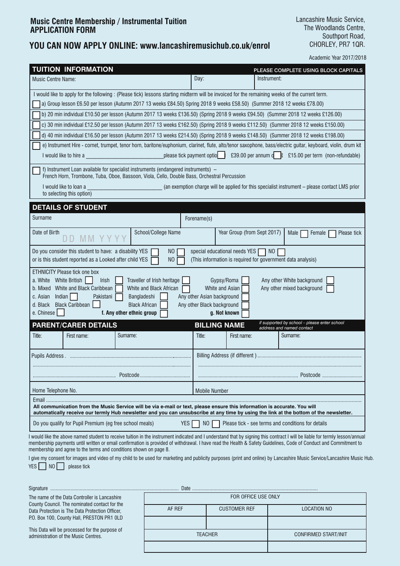#### **Music Centre Membership / Instrumental Tuition APPLICATION FORM**

#### **YOU CAN NOW APPLY ONLINE: www.lancashiremusichub.co.uk/enrol**

**9** Lancashire Music Service, The Woodlands Centre, Southport Road, CHORLEY, PR7 1QR.

Academic Year 2017/2018

| <b>TUITION INFORMATION</b>                                                                                                                                                                                                                                                                                                                                                                                                                                                                                  | PLEASE COMPLETE USING BLOCK CAPITALS                                                                                                                                                              |  |  |  |  |
|-------------------------------------------------------------------------------------------------------------------------------------------------------------------------------------------------------------------------------------------------------------------------------------------------------------------------------------------------------------------------------------------------------------------------------------------------------------------------------------------------------------|---------------------------------------------------------------------------------------------------------------------------------------------------------------------------------------------------|--|--|--|--|
| <b>Music Centre Name:</b>                                                                                                                                                                                                                                                                                                                                                                                                                                                                                   | Day:<br>Instrument:                                                                                                                                                                               |  |  |  |  |
| I would like to apply for the following: (Please tick) lessons starting midterm will be invoiced for the remaining weeks of the current term.                                                                                                                                                                                                                                                                                                                                                               |                                                                                                                                                                                                   |  |  |  |  |
| a) Group lesson £6.50 per lesson (Autumn 2017 13 weeks £84.50) Spring 2018 9 weeks £58.50) (Summer 2018 12 weeks £78.00)                                                                                                                                                                                                                                                                                                                                                                                    |                                                                                                                                                                                                   |  |  |  |  |
|                                                                                                                                                                                                                                                                                                                                                                                                                                                                                                             | b) 20 min individual £10.50 per lesson (Autumn 2017 13 weeks £136.50) (Spring 2018 9 weeks £94.50) (Summer 2018 12 weeks £126.00)                                                                 |  |  |  |  |
|                                                                                                                                                                                                                                                                                                                                                                                                                                                                                                             | c) 30 min individual £12.50 per lesson (Autumn 2017 13 weeks £162.50) (Spring 2018 9 weeks £112.50) (Summer 2018 12 weeks £150.00)                                                                |  |  |  |  |
|                                                                                                                                                                                                                                                                                                                                                                                                                                                                                                             | d) 40 min individual £16.50 per lesson (Autumn 2017 13 weeks £214.50) (Spring 2018 9 weeks £148.50) (Summer 2018 12 weeks £198.00)                                                                |  |  |  |  |
| I would like to hire a series are a series of the series of the please tick payment optio series and the series of the series of the series of the series of the series of the series of the series of the series of the serie                                                                                                                                                                                                                                                                              | e) Instrument Hire - cornet, trumpet, tenor horn, baritone/euphonium, clarinet, flute, alto/tenor saxophone, bass/electric guitar, keyboard, violin, drum kit<br>£15.00 per term (non-refundable) |  |  |  |  |
| f) Instrument Loan available for specialist instruments (endangered instruments) –<br>French Horn, Trombone, Tuba, Oboe, Bassoon, Viola, Cello, Double Bass, Orchestral Percussion                                                                                                                                                                                                                                                                                                                          |                                                                                                                                                                                                   |  |  |  |  |
| I would like to loan a<br>to selecting this option)                                                                                                                                                                                                                                                                                                                                                                                                                                                         | (an exemption charge will be applied for this specialist instrument - please contact LMS prior                                                                                                    |  |  |  |  |
| <b>DETAILS OF STUDENT</b>                                                                                                                                                                                                                                                                                                                                                                                                                                                                                   |                                                                                                                                                                                                   |  |  |  |  |
| Surname                                                                                                                                                                                                                                                                                                                                                                                                                                                                                                     | Forename(s)                                                                                                                                                                                       |  |  |  |  |
| School/College Name<br>Date of Birth                                                                                                                                                                                                                                                                                                                                                                                                                                                                        | Year Group (from Sept 2017)<br>Please tick<br>Male<br>Female                                                                                                                                      |  |  |  |  |
| Do you consider this student to have: a disability YES<br>N <sub>O</sub><br>special educational needs YES  <br>NO<br>or is this student reported as a Looked after child YES<br>N <sub>0</sub><br>(This information is required for government data analysis)                                                                                                                                                                                                                                               |                                                                                                                                                                                                   |  |  |  |  |
| <b>ETHNICITY Please tick one box</b><br>Traveller of Irish heritage<br>a. White White British<br>Gypsy/Roma<br>Any other White background<br><b>Irish</b><br>White and Black Caribbean<br>White and Asian<br>b. Mixed<br>White and Black African<br>Any other mixed background<br>Indian<br>c. Asian<br>Pakistani<br>Bangladeshi<br>Any other Asian background<br>d. Black Black Caribbean<br><b>Black African</b><br>Any other Black background<br>e. Chinese<br>f. Any other ethnic group<br>g. Not known |                                                                                                                                                                                                   |  |  |  |  |
| <b>PARENT/CARER DETAILS</b>                                                                                                                                                                                                                                                                                                                                                                                                                                                                                 | if supported by school - please enter school<br><b>BILLING NAME</b><br>address and named contact                                                                                                  |  |  |  |  |
| Title:<br>First name:<br>Surname:                                                                                                                                                                                                                                                                                                                                                                                                                                                                           | Title:<br>First name:<br>Sumame:                                                                                                                                                                  |  |  |  |  |
|                                                                                                                                                                                                                                                                                                                                                                                                                                                                                                             |                                                                                                                                                                                                   |  |  |  |  |
|                                                                                                                                                                                                                                                                                                                                                                                                                                                                                                             |                                                                                                                                                                                                   |  |  |  |  |
| Home Telephone No.                                                                                                                                                                                                                                                                                                                                                                                                                                                                                          |                                                                                                                                                                                                   |  |  |  |  |
| <b>Mobile Number</b><br>Email.                                                                                                                                                                                                                                                                                                                                                                                                                                                                              |                                                                                                                                                                                                   |  |  |  |  |
| All communication from the Music Service will be via e-mail or text, please ensure this information is accurate. You will<br>automatically receive our termly Hub newsletter and you can unsubscribe at any time by using the link at the bottom of the newsletter.                                                                                                                                                                                                                                         |                                                                                                                                                                                                   |  |  |  |  |
| Do you qualify for Pupil Premium (eg free school meals)<br><b>YES</b>                                                                                                                                                                                                                                                                                                                                                                                                                                       | NO  <br>Please tick - see terms and conditions for details                                                                                                                                        |  |  |  |  |
| I would like the above named student to receive tuition in the instrument indicated and I understand that by signing this contract I will be liable for termly lesson/annual<br>membership payments until written or email confirmation is provided of withdrawal. I have read the Health & Safety Guidelines, Code of Conduct and Commitment to<br>membership and agree to the terms and conditions shown on page 8.                                                                                       |                                                                                                                                                                                                   |  |  |  |  |

I give my consent for images and video of my child to be used for marketing and publicity purposes (print and online) by Lancashire Music Service/Lancashire Music Hub.  $YES$  NO please tick

| Signature                                                                                                                                                                                                                                                                                 |                     |                     |                      |  |
|-------------------------------------------------------------------------------------------------------------------------------------------------------------------------------------------------------------------------------------------------------------------------------------------|---------------------|---------------------|----------------------|--|
| The name of the Data Controller is Lancashire<br>County Council. The nominated contact for the<br>Data Protection is The Data Protection Officer,<br>P.O. Box 100, County Hall, PRESTON PR1 OLD<br>This Data will be processed for the purpose of<br>administration of the Music Centres. | FOR OFFICE USE ONLY |                     |                      |  |
|                                                                                                                                                                                                                                                                                           | AF REF              | <b>CUSTOMER REF</b> | LOCATION NO          |  |
|                                                                                                                                                                                                                                                                                           |                     |                     |                      |  |
|                                                                                                                                                                                                                                                                                           | TFACHFR             |                     | CONFIRMED START/INIT |  |
|                                                                                                                                                                                                                                                                                           |                     |                     |                      |  |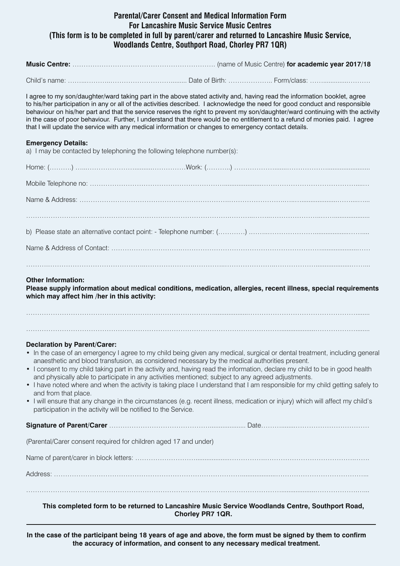#### **Parental/Carer Consent and Medical Information Form For Lancashire Music Service Music Centres (This form is to be completed in full by parent/carer and returned to Lancashire Music Service, Woodlands Centre, Southport Road, Chorley PR7 1QR)**

**Music Centre:** ………………………………………………………. (name of Music Centre) **for academic year 2017/18**

Child's name: ……………………………………………………………………… Date of Birth: ………………………… Form/class: ………………………………

I agree to my son/daughter/ward taking part in the above stated activity and, having read the information booklet, agree to his/her participation in any or all of the activities described. I acknowledge the need for good conduct and responsible behaviour on his/her part and that the service reserves the right to prevent my son/daughter/ward continuing with the activity in the case of poor behaviour. Further, I understand that there would be no entitlement to a refund of monies paid. I agree that I will update the service with any medical information or changes to emergency contact details.

#### **Emergency Details:**

a) I may be contacted by telephoning the following telephone number(s):

#### **Other Information:**

**Please supply information about medical conditions, medication, allergies, recent illness, special requirements which may affect him /her in this activity:**

…………………………………………………………………………...................…………………………………………........

……………………………………………………………………………………………………...................………………........

#### **Declaration by Parent/Carer:**

- In the case of an emergency I agree to my child being given any medical, surgical or dental treatment, including general anaesthetic and blood transfusion, as considered necessary by the medical authorities present.
- I consent to my child taking part in the activity and, having read the information, declare my child to be in good health and physically able to participate in any activities mentioned; subject to any agreed adjustments.
- I have noted where and when the activity is taking place I understand that I am responsible for my child getting safely to and from that place.
- I will ensure that any change in the circumstances (e.g. recent illness, medication or injury) which will affect my child's participation in the activity will be notified to the Service.

**Signature of Parent/Carer** ……………………………………….................... Date………........……………………………

(Parental/Carer consent required for children aged 17 and under)

Name of parent/carer in block letters: ………………………...................…………….………………………………….…….

Address: …………………………………………………………………………...................…………………………………...

……………………………………………………………………………………………………...................……………….…...

**This completed form to be returned to Lancashire Music Service Woodlands Centre, Southport Road, Chorley PR7 1QR.**

**In the case of the participant being 18 years of age and above, the form must be signed by them to confirm the accuracy of information, and consent to any necessary medical treatment.**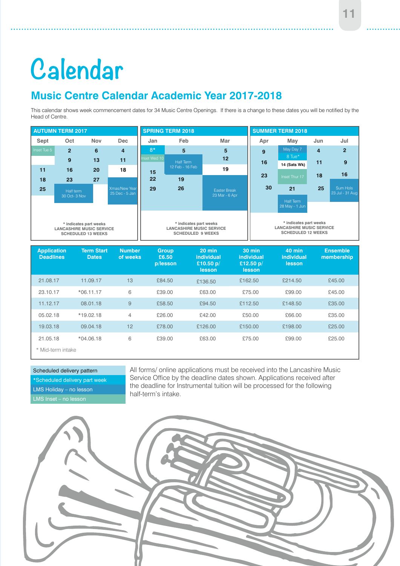#### **11**

# **Calendar**

#### **Music Centre Calendar Academic Year 2017-2018**

This calendar shows week commencement dates for 34 Music Centre Openings. If there is a change to these dates you will be notified by the Head of Centre.



| <b>Deadlines</b>  | <b>Dates</b> | of weeks | £6.50<br>p/lesson | individual<br>£10.50 $p/$<br><b>lesson</b> | individual<br>£12.50 $p/$<br><b>lesson</b> | <i>individual</i><br>lesson | membership |
|-------------------|--------------|----------|-------------------|--------------------------------------------|--------------------------------------------|-----------------------------|------------|
| 21.08.17          | 11.09.17     | 13       | £84.50            | £136.50                                    | £162.50                                    | £214.50                     | £45.00     |
| 23.10.17          | $*06.11.17$  | 6        | £39.00            | £63.00                                     | £75.00                                     | £99.00                      | £45.00     |
| 11.12.17          | 08.01.18     | 9        | £58.50            | £94.50                                     | £112.50                                    | £148.50                     | £35.00     |
| 05.02.18          | $*19.02.18$  | 4        | £26.00            | £42.00                                     | £50.00                                     | £66.00                      | £35.00     |
| 19.03.18          | 09.04.18     | 12       | £78.00            | £126.00                                    | £150.00                                    | £198.00                     | £25.00     |
| 21.05.18          | $*04.06.18$  | 6        | £39.00            | £63.00                                     | £75.00                                     | £99.00                      | £25.00     |
| * Mid-term intake |              |          |                   |                                            |                                            |                             |            |

#### Scheduled delivery pattern

\*Scheduled delivery part week LMS Holiday – no lesson

All forms/ online applications must be received into the Lancashire Music Service Office by the deadline dates shown. Applications received after the deadline for Instrumental tuition will be processed for the following half-term's intake.